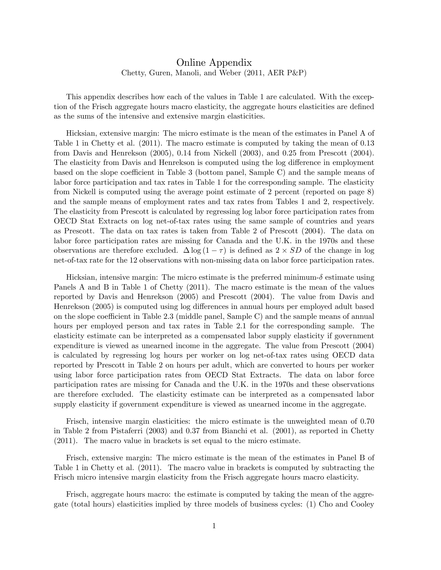## Online Appendix Chetty, Guren, Manoli, and Weber (2011, AER P&P)

This appendix describes how each of the values in Table 1 are calculated. With the exception of the Frisch aggregate hours macro elasticity, the aggregate hours elasticities are defined as the sums of the intensive and extensive margin elasticities.

Hicksian, extensive margin: The micro estimate is the mean of the estimates in Panel A of Table 1 in Chetty et al. (2011). The macro estimate is computed by taking the mean of 0.13 from Davis and Henrekson (2005), 0.14 from Nickell (2003), and 0.25 from Prescott (2004). The elasticity from Davis and Henrekson is computed using the log difference in employment based on the slope coefficient in Table 3 (bottom panel, Sample C) and the sample means of labor force participation and tax rates in Table 1 for the corresponding sample. The elasticity from Nickell is computed using the average point estimate of 2 percent (reported on page 8) and the sample means of employment rates and tax rates from Tables 1 and 2, respectively. The elasticity from Prescott is calculated by regressing log labor force participation rates from OECD Stat Extracts on log net-of-tax rates using the same sample of countries and years as Prescott. The data on tax rates is taken from Table 2 of Prescott (2004). The data on labor force participation rates are missing for Canada and the U.K. in the 1970s and these observations are therefore excluded.  $\Delta \log (1 - \tau)$  is defined as  $2 \times SD$  of the change in log net-of-tax rate for the 12 observations with non-missing data on labor force participation rates.

Hicksian, intensive margin: The micro estimate is the preferred minimum- $\delta$  estimate using Panels A and B in Table 1 of Chetty (2011). The macro estimate is the mean of the values reported by Davis and Henrekson (2005) and Prescott (2004). The value from Davis and Henrekson (2005) is computed using log differences in annual hours per employed adult based on the slope coefficient in Table 2.3 (middle panel, Sample C) and the sample means of annual hours per employed person and tax rates in Table 2.1 for the corresponding sample. The elasticity estimate can be interpreted as a compensated labor supply elasticity if government expenditure is viewed as unearned income in the aggregate. The value from Prescott (2004) is calculated by regressing log hours per worker on log net-of-tax rates using OECD data reported by Prescott in Table 2 on hours per adult, which are converted to hours per worker using labor force participation rates from OECD Stat Extracts. The data on labor force participation rates are missing for Canada and the U.K. in the 1970s and these observations are therefore excluded. The elasticity estimate can be interpreted as a compensated labor supply elasticity if government expenditure is viewed as unearned income in the aggregate.

Frisch, intensive margin elasticities: the micro estimate is the unweighted mean of 0.70 in Table 2 from Pistaferri (2003) and 0.37 from Bianchi et al. (2001), as reported in Chetty (2011). The macro value in brackets is set equal to the micro estimate.

Frisch, extensive margin: The micro estimate is the mean of the estimates in Panel B of Table 1 in Chetty et al. (2011). The macro value in brackets is computed by subtracting the Frisch micro intensive margin elasticity from the Frisch aggregate hours macro elasticity.

Frisch, aggregate hours macro: the estimate is computed by taking the mean of the aggregate (total hours) elasticities implied by three models of business cycles: (1) Cho and Cooley